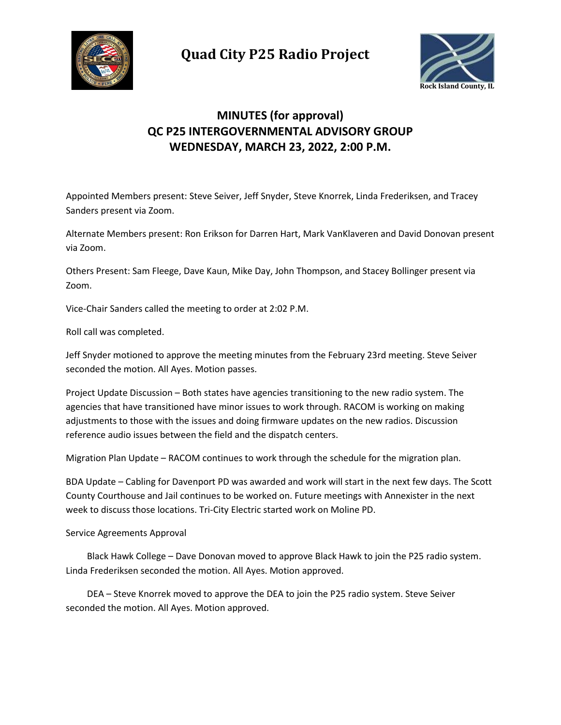

**Quad City P25 Radio Project**



## **MINUTES (for approval) QC P25 INTERGOVERNMENTAL ADVISORY GROUP WEDNESDAY, MARCH 23, 2022, 2:00 P.M.**

Appointed Members present: Steve Seiver, Jeff Snyder, Steve Knorrek, Linda Frederiksen, and Tracey Sanders present via Zoom.

Alternate Members present: Ron Erikson for Darren Hart, Mark VanKlaveren and David Donovan present via Zoom.

Others Present: Sam Fleege, Dave Kaun, Mike Day, John Thompson, and Stacey Bollinger present via Zoom.

Vice-Chair Sanders called the meeting to order at 2:02 P.M.

Roll call was completed.

Jeff Snyder motioned to approve the meeting minutes from the February 23rd meeting. Steve Seiver seconded the motion. All Ayes. Motion passes.

Project Update Discussion – Both states have agencies transitioning to the new radio system. The agencies that have transitioned have minor issues to work through. RACOM is working on making adjustments to those with the issues and doing firmware updates on the new radios. Discussion reference audio issues between the field and the dispatch centers.

Migration Plan Update – RACOM continues to work through the schedule for the migration plan.

BDA Update – Cabling for Davenport PD was awarded and work will start in the next few days. The Scott County Courthouse and Jail continues to be worked on. Future meetings with Annexister in the next week to discuss those locations. Tri-City Electric started work on Moline PD.

Service Agreements Approval

Black Hawk College – Dave Donovan moved to approve Black Hawk to join the P25 radio system. Linda Frederiksen seconded the motion. All Ayes. Motion approved.

DEA – Steve Knorrek moved to approve the DEA to join the P25 radio system. Steve Seiver seconded the motion. All Ayes. Motion approved.